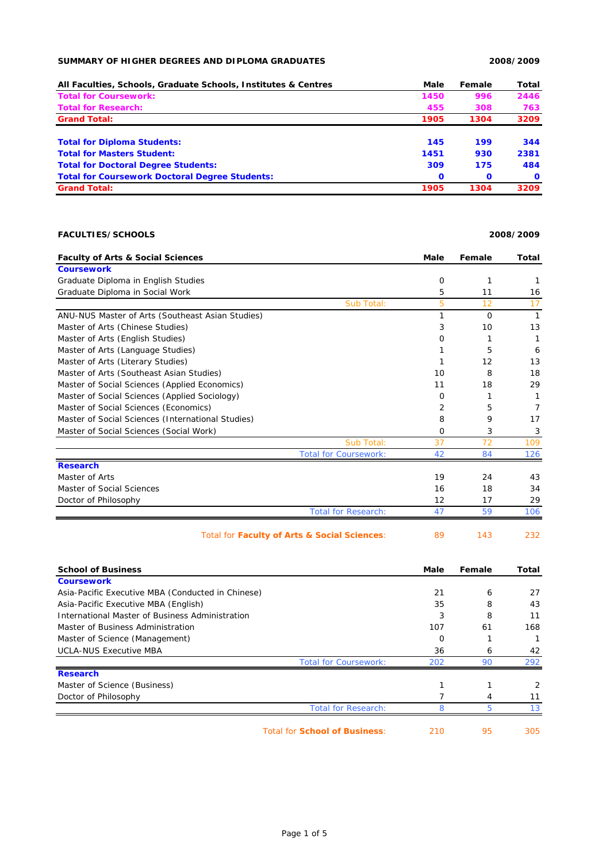## **SUMMARY OF HIGHER DEGREES AND DIPLOMA GRADUATES 2008/2009**

| All Faculties, Schools, Graduate Schools, Institutes & Centres | Male         | Female       | Total        |
|----------------------------------------------------------------|--------------|--------------|--------------|
| <b>Total for Coursework:</b>                                   | 1450         | 996          | 2446         |
| <b>Total for Research:</b>                                     | 455          | 308          | 763          |
| <b>Grand Total:</b>                                            | 1905         | 1304         | 3209         |
| <b>Total for Diploma Students:</b>                             | 145          | 199          | 344          |
| <b>Total for Masters Student:</b>                              | 1451         | 930          | 2381         |
| <b>Total for Doctoral Degree Students:</b>                     | 309          | 175          | 484          |
| <b>Total for Coursework Doctoral Degree Students:</b>          | $\mathbf{o}$ | $\mathbf{o}$ | $\mathbf{o}$ |
| <b>Grand Total:</b>                                            | 1905         | 1304         | 3209         |

## **FACULTIES/SCHOOLS 2008/2009**

| <b>Faculty of Arts &amp; Social Sciences</b>      | <b>Male</b> | Female | Total        |
|---------------------------------------------------|-------------|--------|--------------|
| <b>Coursework</b>                                 |             |        |              |
| Graduate Diploma in English Studies               | 0           | 1      |              |
| Graduate Diploma in Social Work                   | 5           | 11     | 16           |
| Sub Total:                                        | 5           | 12     | 17           |
| ANU-NUS Master of Arts (Southeast Asian Studies)  |             | O      | $\mathbf{1}$ |
| Master of Arts (Chinese Studies)                  | 3           | 10     | 13           |
| Master of Arts (English Studies)                  | 0           | 1      | 1            |
| Master of Arts (Language Studies)                 |             | 5      | 6            |
| Master of Arts (Literary Studies)                 |             | 12     | 13           |
| Master of Arts (Southeast Asian Studies)          | 10          | 8      | 18           |
| Master of Social Sciences (Applied Economics)     | 11          | 18     | 29           |
| Master of Social Sciences (Applied Sociology)     | 0           | 1      |              |
| Master of Social Sciences (Economics)             | 2           | 5      | 7            |
| Master of Social Sciences (International Studies) | 8           | 9      | 17           |
| Master of Social Sciences (Social Work)           | 0           | 3      | 3            |
| Sub Total:                                        | 37          | 72     | 109          |
| <b>Total for Coursework:</b>                      | 42          | 84     | 126          |
| <b>Research</b>                                   |             |        |              |
| Master of Arts                                    | 19          | 24     | 43           |
| Master of Social Sciences                         | 16          | 18     | 34           |
| Doctor of Philosophy                              | 12          | 17     | 29           |
| <b>Total for Research:</b>                        | 47          | 59     | 106          |
| Total for Faculty of Arts & Social Sciences:      | 89          | 143    | 232          |

| <b>School of Business</b>                         |                                      | Male | Female | Total |
|---------------------------------------------------|--------------------------------------|------|--------|-------|
| <b>Coursework</b>                                 |                                      |      |        |       |
| Asia-Pacific Executive MBA (Conducted in Chinese) |                                      | 21   | 6      | 27    |
| Asia-Pacific Executive MBA (English)              |                                      | 35   | 8      | 43    |
| International Master of Business Administration   |                                      | 3    | 8      | 11    |
| Master of Business Administration                 |                                      | 107  | 61     | 168   |
| Master of Science (Management)                    |                                      | O    |        |       |
| <b>UCLA-NUS Executive MBA</b>                     |                                      | 36   | 6      | 42    |
|                                                   | <b>Total for Coursework:</b>         | 202  | 90     | 292   |
| <b>Research</b>                                   |                                      |      |        |       |
| Master of Science (Business)                      |                                      |      |        | 2     |
| Doctor of Philosophy                              |                                      |      | 4      | 11    |
|                                                   | <b>Total for Research:</b>           |      | 5      | 13    |
|                                                   | <b>Total for School of Business:</b> | 210  | 95     | 305   |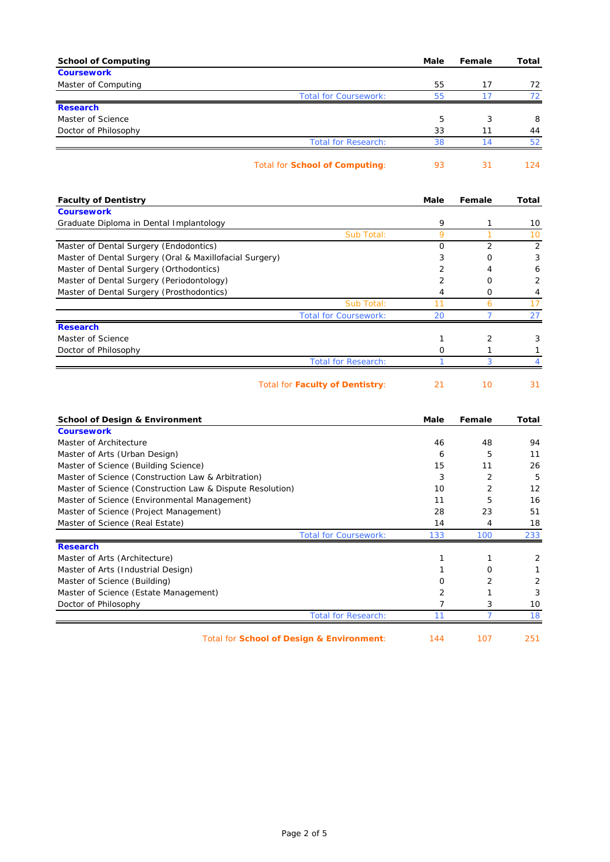| <b>School of Computing</b>                                | Male           | Female         | Total          |
|-----------------------------------------------------------|----------------|----------------|----------------|
| <b>Coursework</b>                                         |                |                |                |
| Master of Computing                                       | 55             | 17             | 72             |
| <b>Total for Coursework:</b>                              | 55             | 17             | 72             |
| <b>Research</b>                                           |                |                |                |
| Master of Science                                         | 5              | 3              | 8              |
| Doctor of Philosophy                                      | 33             | 11             | 44             |
| <b>Total for Research:</b>                                | 38             | 14             | 52             |
| <b>Total for School of Computing:</b>                     | 93             | 31             | 124            |
| <b>Faculty of Dentistry</b>                               | Male           | Female         | Total          |
| <b>Coursework</b>                                         |                |                |                |
| Graduate Diploma in Dental Implantology                   | 9              | $\mathbf{1}$   | 10             |
| Sub Total:                                                | 9              | $\mathbf{1}$   | 10             |
| Master of Dental Surgery (Endodontics)                    | O              | $\overline{2}$ | 2              |
| Master of Dental Surgery (Oral & Maxillofacial Surgery)   | 3              | 0              | 3              |
| Master of Dental Surgery (Orthodontics)                   | 2              | 4              | 6              |
| Master of Dental Surgery (Periodontology)                 | $\overline{2}$ | O              | $\overline{2}$ |
| Master of Dental Surgery (Prosthodontics)                 | 4              | O              | 4              |
| Sub Total:                                                | 11             | 6              | 17             |
| <b>Total for Coursework:</b>                              | 20             | $\overline{7}$ | 27             |
| <b>Research</b>                                           |                |                |                |
| Master of Science                                         | 1              | 2              | 3              |
| Doctor of Philosophy                                      | 0              | 1              | 1              |
| <b>Total for Research:</b>                                | 1              | 3              | $\overline{4}$ |
| <b>Total for Faculty of Dentistry:</b>                    | 21             | 10             | 31             |
| <b>School of Design &amp; Environment</b>                 | Male           | Female         | Total          |
| <b>Coursework</b>                                         |                |                |                |
| Master of Architecture                                    | 46             | 48             | 94             |
| Master of Arts (Urban Design)                             | 6              | 5              | 11             |
| Master of Science (Building Science)                      | 15             | 11             | 26             |
| Master of Science (Construction Law & Arbitration)        | 3              | 2              | 5              |
| Master of Science (Construction Law & Dispute Resolution) | 10             | $\overline{2}$ | 12             |
| Master of Science (Environmental Management)              | 11             | 5              | 16             |

| Master of Science (Project Management) |                              | 28  | 23  | 51  |
|----------------------------------------|------------------------------|-----|-----|-----|
| Master of Science (Real Estate)        |                              | 14  |     | 18  |
|                                        | <b>Total for Coursework:</b> | 133 | 100 | 233 |
| <b>Research</b>                        |                              |     |     |     |
| Master of Arts (Architecture)          |                              |     |     |     |
| Master of Arts (Industrial Design)     |                              |     | O   |     |
| Master of Science (Building)           |                              |     |     | 2   |
| Master of Science (Estate Management)  |                              |     |     | 3   |
| Doctor of Philosophy                   |                              |     |     | 10  |
|                                        | Total for Research:          |     |     | 18  |

Total for **School of Design & Environment**: 144 107 251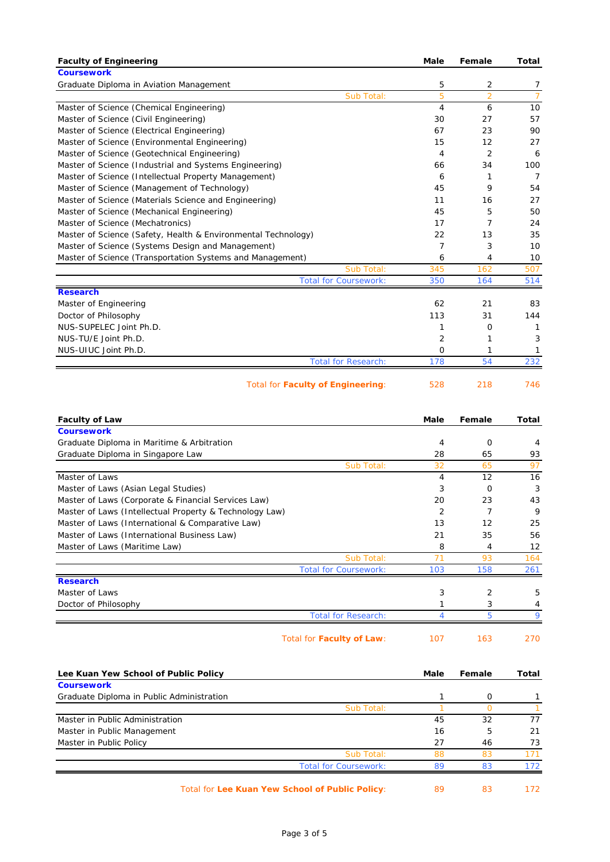| <b>Faculty of Engineering</b>                                 | Male | Female         | Total          |
|---------------------------------------------------------------|------|----------------|----------------|
| <b>Coursework</b>                                             |      |                |                |
| Graduate Diploma in Aviation Management                       | 5    | 2              | $\overline{7}$ |
| Sub Total:                                                    | 5    | $\overline{2}$ | $\overline{7}$ |
| Master of Science (Chemical Engineering)                      | 4    | 6              | 10             |
| Master of Science (Civil Engineering)                         | 30   | 27             | 57             |
| Master of Science (Electrical Engineering)                    | 67   | 23             | 90             |
| Master of Science (Environmental Engineering)                 | 15   | 12             | 27             |
| Master of Science (Geotechnical Engineering)                  | 4    | 2              | 6              |
| Master of Science (Industrial and Systems Engineering)        | 66   | 34             | 100            |
| Master of Science (Intellectual Property Management)          | 6    | 1              | $\overline{7}$ |
| Master of Science (Management of Technology)                  | 45   | 9              | 54             |
| Master of Science (Materials Science and Engineering)         | 11   | 16             | 27             |
| Master of Science (Mechanical Engineering)                    | 45   | 5              | 50             |
| Master of Science (Mechatronics)                              | 17   | $\overline{7}$ | 24             |
| Master of Science (Safety, Health & Environmental Technology) | 22   | 13             | 35             |
| Master of Science (Systems Design and Management)             | 7    | 3              | 10             |
| Master of Science (Transportation Systems and Management)     | 6    | 4              | 10             |
| Sub Total:                                                    | 345  | 162            | 507            |
| <b>Total for Coursework:</b>                                  | 350  | 164            | 514            |
| <b>Research</b>                                               |      |                |                |
| Master of Engineering                                         | 62   | 21             | 83             |
| Doctor of Philosophy                                          | 113  | 31             | 144            |
| NUS-SUPELEC Joint Ph.D.                                       | 1    | O              | 1              |
| NUS-TU/E Joint Ph.D.                                          | 2    | 1              | 3              |
| NUS-UIUC Joint Ph.D.                                          | 0    | 1              | 1              |
| <b>Total for Research:</b>                                    | 178  | 54             | 232            |
| <b>Total for Faculty of Engineering:</b>                      | 528  | 218            | 746            |

| <b>Faculty of Law</b>                                   | Male | Female         | Total |
|---------------------------------------------------------|------|----------------|-------|
| <b>Coursework</b>                                       |      |                |       |
| Graduate Diploma in Maritime & Arbitration              | 4    | O              | 4     |
| Graduate Diploma in Singapore Law                       | 28   | 65             | 93    |
| Sub Total:                                              | 32   | 65             | 97    |
| Master of Laws                                          | 4    | 12             | 16    |
| Master of Laws (Asian Legal Studies)                    | 3    | $\Omega$       | 3     |
| Master of Laws (Corporate & Financial Services Law)     | 20   | 23             | 43    |
| Master of Laws (Intellectual Property & Technology Law) | 2    |                | 9     |
| Master of Laws (International & Comparative Law)        | 13   | 12             | 25    |
| Master of Laws (International Business Law)             | 21   | 35             | 56    |
| Master of Laws (Maritime Law)                           | 8    | 4              | 12    |
| Sub Total:                                              | 71   | 93             | 164   |
| <b>Total for Coursework:</b>                            | 103  | 158            | 261   |
| <b>Research</b>                                         |      |                |       |
| Master of Laws                                          | 3    | $\overline{2}$ | 5     |
| Doctor of Philosophy                                    |      | 3              | 4     |
| <b>Total for Research:</b>                              |      | 5              |       |
| Total for Faculty of Law:                               | 107  | 163            | 270   |

| Lee Kuan Yew School of Public Policy      |                              | Male | Female | Total |
|-------------------------------------------|------------------------------|------|--------|-------|
| <b>Coursework</b>                         |                              |      |        |       |
| Graduate Diploma in Public Administration |                              |      | O      |       |
|                                           | Sub Total:                   |      |        |       |
| Master in Public Administration           |                              | 45   | 32     | 77    |
| Master in Public Management               |                              | 16   | 5      | 21    |
| Master in Public Policy                   |                              | 27   | 46     | 73    |
|                                           | Sub Total:                   | 88   | 83     |       |
|                                           | <b>Total for Coursework:</b> | 89   | 83     | 172   |
|                                           |                              |      |        |       |

Total for Lee Kuan Yew School of Public Policy: 89 83 172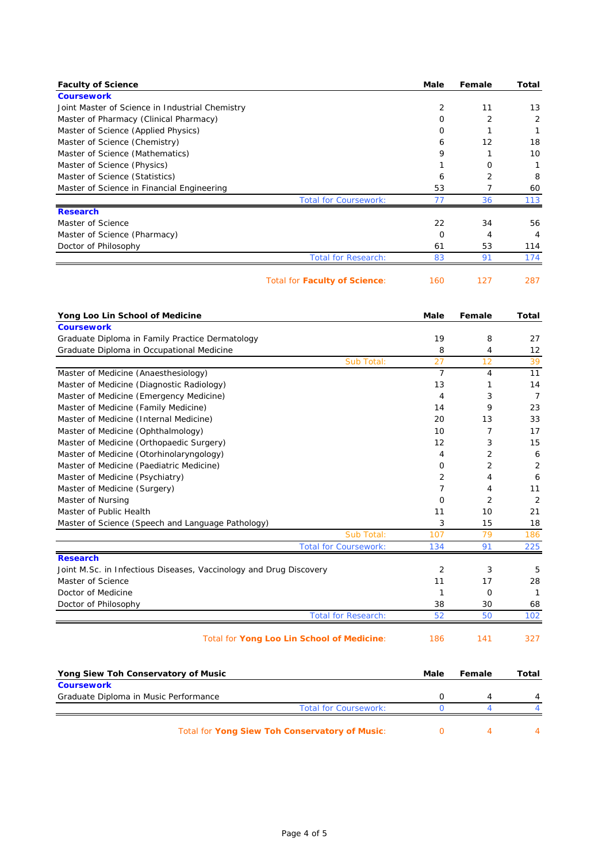| <b>Faculty of Science</b>                                          | Male           | Female         | <b>Total</b>   |
|--------------------------------------------------------------------|----------------|----------------|----------------|
| <b>Coursework</b>                                                  |                |                |                |
| Joint Master of Science in Industrial Chemistry                    | 2              | 11             | 13             |
| Master of Pharmacy (Clinical Pharmacy)                             | 0              | 2              | 2              |
| Master of Science (Applied Physics)                                | 0              | 1              | $\mathbf{1}$   |
| Master of Science (Chemistry)                                      | 6              | 12             | 18             |
| Master of Science (Mathematics)                                    | 9              | 1              | 10             |
| Master of Science (Physics)                                        | 1              | 0              | 1              |
| Master of Science (Statistics)                                     | 6              | 2              | 8              |
| Master of Science in Financial Engineering                         | 53             | 7              | 60             |
| <b>Total for Coursework:</b>                                       | 77             | 36             | 113            |
| <b>Research</b>                                                    |                |                |                |
| Master of Science                                                  | 22             | 34             | 56             |
| Master of Science (Pharmacy)                                       | $\mathbf{O}$   | 4              | 4              |
| Doctor of Philosophy                                               | 61             | 53             | 114            |
| <b>Total for Research:</b>                                         | 83             | 91             | 174            |
| <b>Total for Faculty of Science:</b>                               | 160            | 127            | 287            |
| Yong Loo Lin School of Medicine                                    | Male           | Female         | Total          |
| <b>Coursework</b>                                                  |                |                |                |
| Graduate Diploma in Family Practice Dermatology                    | 19             | 8              | 27             |
| Graduate Diploma in Occupational Medicine                          | 8              | 4              | 12             |
| Sub Total:                                                         | 27             | 12             | 39             |
| Master of Medicine (Anaesthesiology)                               | $\overline{7}$ | $\overline{4}$ | 11             |
| Master of Medicine (Diagnostic Radiology)                          | 13             | 1              | 14             |
| Master of Medicine (Emergency Medicine)                            | 4              | 3              | $\overline{7}$ |
| Master of Medicine (Family Medicine)                               | 14             | 9              | 23             |
| Master of Medicine (Internal Medicine)                             | 20             | 13             | 33             |
| Master of Medicine (Ophthalmology)                                 | 10             | $\overline{7}$ | 17             |
| Master of Medicine (Orthopaedic Surgery)                           | 12             | 3              | 15             |
| Master of Medicine (Otorhinolaryngology)                           | 4              | 2              | 6              |
| Master of Medicine (Paediatric Medicine)                           | 0              | 2              | 2              |
| Master of Medicine (Psychiatry)                                    | 2              | 4              | 6              |
| Master of Medicine (Surgery)                                       | 7              | 4              | 11             |
| Master of Nursing                                                  | O              | 2              | $\overline{2}$ |
| Master of Public Health                                            | 11             | 10             | 21             |
| Master of Science (Speech and Language Pathology)                  | 3              | 15             | 18             |
| Sub Total:                                                         | 107            | 79             | 186            |
| <b>Total for Coursework:</b>                                       | 134            | 91             | 225            |
| <b>Research</b>                                                    |                |                |                |
| Joint M.Sc. in Infectious Diseases, Vaccinology and Drug Discovery | $\overline{c}$ | 3              | 5              |
| Master of Science                                                  | 11             | 17             | 28             |
| Doctor of Medicine                                                 | 1              | 0              | $\mathbf{1}$   |
| Doctor of Philosophy                                               | 38             | 30             | 68             |
| <b>Total for Research:</b>                                         | 52             | 50             | 102            |
| Total for Yong Loo Lin School of Medicine:                         | 186            | 141            | 327            |
| Yong Siew Toh Conservatory of Music                                | Male           | Female         | <b>Total</b>   |
| <b>Coursework</b>                                                  |                |                |                |
| Graduate Diploma in Music Performance                              | 0              | 4              | 4              |
| <b>Total for Coursework:</b>                                       | $\mathbf{O}$   | 4              | 4              |

Total for **Yong Siew Toh Conservatory of Music**: 0 4 4 4 4 4